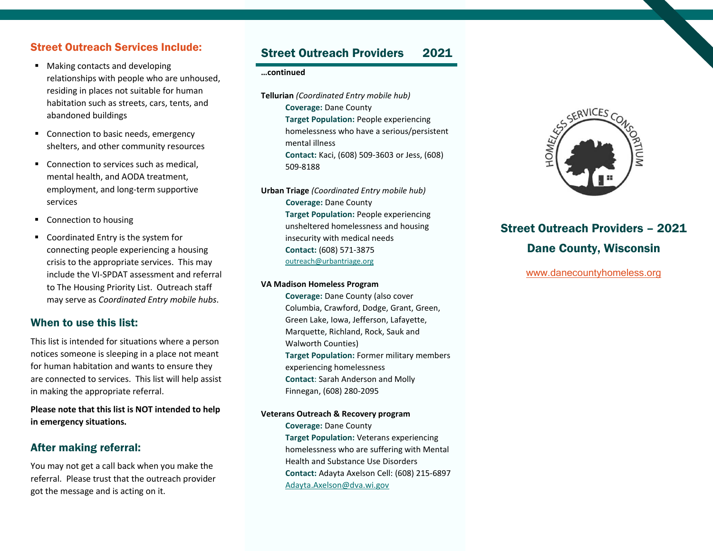## Street Outreach Services Include:

- **Making contacts and developing** relationships with people who are unhoused, residing in places not suitable for human habitation such as streets, cars, tents, and abandoned buildings
- Connection to basic needs, emergency shelters, and other community resources
- Connection to services such as medical. mental health, and AODA treatment, employment, and long-term supportive services
- Connection to housing
- Coordinated Entry is the system for connecting people experiencing a housing crisis to the appropriate services. This may include the VI-SPDAT assessment and referral to The Housing Priority List. Outreach staff may serve as *Coordinated Entry mobile hubs*.

### When to use this list:

This list is intended for situations where a person notices someone is sleeping in a place not meant for human habitation and wants to ensure they are connected to services. This list will help assist in making the appropriate referral.

**Please note that this list is NOT intended to help in emergency situations.**

## After making referral:

You may not get a call back when you make the referral. Please trust that the outreach provider got the message and is acting on it.

# Street Outreach Providers 2021

#### **…continued**

**Tellurian** *(Coordinated Entry mobile hub)* **Coverage:** Dane County **Target Population:** People experiencing homelessness who have a serious/persistent mental illness **Contact:** Kaci, (608) 509-3603 or Jess, (608) 509-8188

**Urban Triage** *(Coordinated Entry mobile hub)* **Coverage:** Dane County **Target Population:** People experiencing unsheltered homelessness and housing insecurity with medical needs **Contact:** (608) 571-3875 <outreach@urbantriage.org>

#### **VA Madison Homeless Program**

**Coverage:** Dane County (also cover Columbia, Crawford, Dodge, Grant, Green, Green Lake, Iowa, Jefferson, Lafayette, Marquette, Richland, Rock, Sauk and Walworth Counties) **Target Population:** Former military members experiencing homelessness **Contact**: Sarah Anderson and Molly Finnegan, (608) 280-2095

#### **Veterans Outreach & Recovery program**

**Coverage:** Dane County **Target Population:** Veterans experiencing homelessness who are suffering with Mental Health and Substance Use Disorders **Contact:** Adayta Axelson Cell: (608) 215-6897 [Adayta.Axelson@dva.wi.gov](mailto:Adayta.Axelson@dva.wi.gov)



# Street Outreach Providers – 2021 Dane County, Wisconsin

[www.danecountyhomeless.org](http://www.danecountyhomeless.org/)